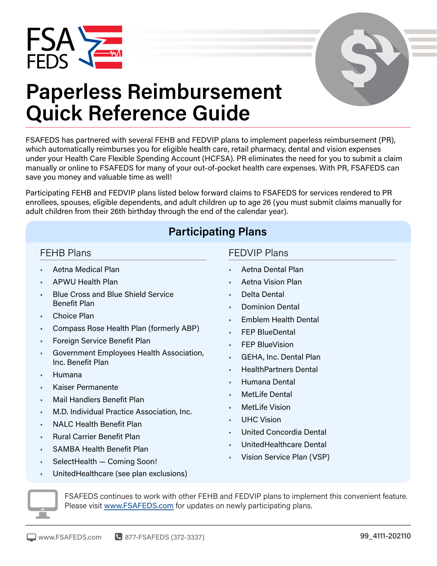



# **Paperless Reimbursement Quick Reference Guide**

FSAFEDS has partnered with several FEHB and FEDVIP plans to implement paperless reimbursement (PR), which automatically reimburses you for eligible health care, retail pharmacy, dental and vision expenses under your Health Care Flexible Spending Account (HCFSA). PR eliminates the need for you to submit a claim manually or online to FSAFEDS for many of your out-of-pocket health care expenses. With PR, FSAFEDS can save you money and valuable time as well!

Participating FEHB and FEDVIP plans listed below forward claims to FSAFEDS for services rendered to PR enrollees, spouses, eligible dependents, and adult children up to age 26 (you must submit claims manually for adult children from their 26th birthday through the end of the calendar year).

## **Participating Plans**

#### FEHB Plans

- Aetna Medical Plan
- APWU Health Plan
- Blue Cross and Blue Shield Service Benefit Plan
- Choice Plan
- Compass Rose Health Plan (formerly ABP)
- Foreign Service Benefit Plan
- Government Employees Health Association, Inc. Benefit Plan
- Humana
- Kaiser Permanente
- Mail Handlers Benefit Plan
- M.D. Individual Practice Association, Inc.
- NALC Health Benefit Plan
- Rural Carrier Benefit Plan
- SAMBA Health Benefit Plan
- SelectHealth Coming Soon!

#### FEDVIP Plans

- Aetna Dental Plan
- Aetna Vision Plan
- Delta Dental
- Dominion Dental
- Emblem Health Dental
- **FEP BlueDental**
- **FEP BlueVision**
- GEHA, Inc. Dental Plan
- HealthPartners Dental
- Humana Dental
- MetLife Dental
- **MetLife Vision**
- UHC Vision
- United Concordia Dental
- UnitedHealthcare Dental
- Vision Service Plan (VSP)
- UnitedHealthcare (see plan exclusions)



FSAFEDS continues to work with other FEHB and FEDVIP plans to implement this convenient feature. Please visit [www.FSAFEDS.com](http://www.FSAFEDS.com) for updates on newly participating plans.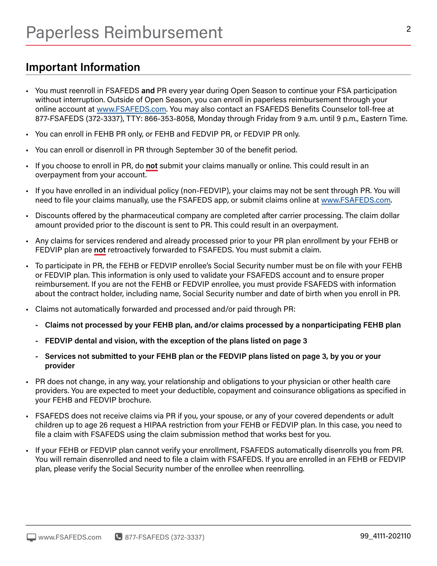## **Important Information**

- You must reenroll in FSAFEDS **and** PR every year during Open Season to continue your FSA participation without interruption. Outside of Open Season, you can enroll in paperless reimbursement through your online account at [www.FSAFEDS.com.](http://www.FSAFEDS.com) You may also contact an FSAFEDS Benefits Counselor toll-free at 877-FSAFEDS (372-3337), TTY: 866-353-8058, Monday through Friday from 9 a.m. until 9 p.m., Eastern Time.
- You can enroll in FEHB PR only, or FEHB and FEDVIP PR, or FEDVIP PR only.
- You can enroll or disenroll in PR through September 30 of the benefit period.
- If you choose to enroll in PR, do **not** submit your claims manually or online. This could result in an overpayment from your account.
- If you have enrolled in an individual policy (non-FEDVIP), your claims may not be sent through PR. You will need to file your claims manually, use the FSAFEDS app, or submit claims online at [www.FSAFEDS.com.](http://www.FSAFEDS.com)
- Discounts offered by the pharmaceutical company are completed after carrier processing. The claim dollar amount provided prior to the discount is sent to PR. This could result in an overpayment.
- Any claims for services rendered and already processed prior to your PR plan enrollment by your FEHB or FEDVIP plan are **not** retroactively forwarded to FSAFEDS. You must submit a claim.
- To participate in PR, the FEHB or FEDVIP enrollee's Social Security number must be on file with your FEHB or FEDVIP plan. This information is only used to validate your FSAFEDS account and to ensure proper reimbursement. If you are not the FEHB or FEDVIP enrollee, you must provide FSAFEDS with information about the contract holder, including name, Social Security number and date of birth when you enroll in PR.
- Claims not automatically forwarded and processed and/or paid through PR:
	- **- Claims not processed by your FEHB plan, and/or claims processed by a nonparticipating FEHB plan**
	- **- FEDVIP dental and vision, with the exception of the plans listed on page 3**
	- **- Services not submitted to your FEHB plan or the FEDVIP plans listed on page 3, by you or your provider**
- PR does not change, in any way, your relationship and obligations to your physician or other health care providers. You are expected to meet your deductible, copayment and coinsurance obligations as specified in your FEHB and FEDVIP brochure.
- FSAFEDS does not receive claims via PR if you, your spouse, or any of your covered dependents or adult children up to age 26 request a HIPAA restriction from your FEHB or FEDVIP plan. In this case, you need to file a claim with FSAFEDS using the claim submission method that works best for you.
- If your FEHB or FEDVIP plan cannot verify your enrollment, FSAFEDS automatically disenrolls you from PR. You will remain disenrolled and need to file a claim with FSAFEDS. If you are enrolled in an FEHB or FEDVIP plan, please verify the Social Security number of the enrollee when reenrolling.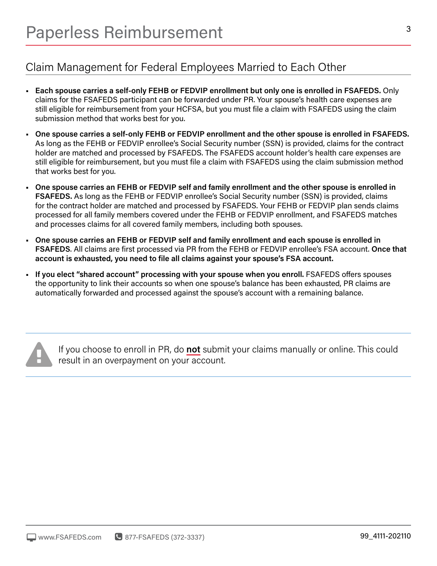# Claim Management for Federal Employees Married to Each Other

- **Each spouse carries a self-only FEHB or FEDVIP enrollment but only one is enrolled in FSAFEDS.** Only claims for the FSAFEDS participant can be forwarded under PR. Your spouse's health care expenses are still eligible for reimbursement from your HCFSA, but you must file a claim with FSAFEDS using the claim submission method that works best for you.
- **One spouse carries a self-only FEHB or FEDVIP enrollment and the other spouse is enrolled in FSAFEDS.**  As long as the FEHB or FEDVIP enrollee's Social Security number (SSN) is provided, claims for the contract holder are matched and processed by FSAFEDS. The FSAFEDS account holder's health care expenses are still eligible for reimbursement, but you must file a claim with FSAFEDS using the claim submission method that works best for you.
- **One spouse carries an FEHB or FEDVIP self and family enrollment and the other spouse is enrolled in FSAFEDS.** As long as the FEHB or FEDVIP enrollee's Social Security number (SSN) is provided, claims for the contract holder are matched and processed by FSAFEDS. Your FEHB or FEDVIP plan sends claims processed for all family members covered under the FEHB or FEDVIP enrollment, and FSAFEDS matches and processes claims for all covered family members, including both spouses.
- **One spouse carries an FEHB or FEDVIP self and family enrollment and each spouse is enrolled in FSAFEDS**. All claims are first processed via PR from the FEHB or FEDVIP enrollee's FSA account. **Once that account is exhausted, you need to file all claims against your spouse's FSA account.**
- **If you elect "shared account" processing with your spouse when you enroll.** FSAFEDS offers spouses the opportunity to link their accounts so when one spouse's balance has been exhausted, PR claims are automatically forwarded and processed against the spouse's account with a remaining balance.



If you choose to enroll in PR, do **not** submit your claims manually or online. This could result in an overpayment on your account.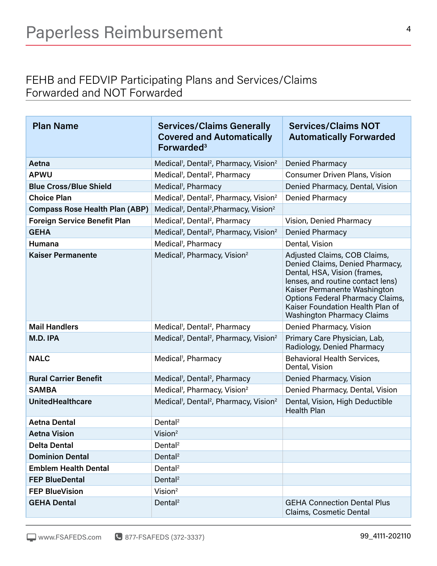### FEHB and FEDVIP Participating Plans and Services/Claims Forwarded and NOT Forwarded

| <b>Plan Name</b>                      | <b>Services/Claims Generally</b><br><b>Covered and Automatically</b><br>Forwarded <sup>3</sup> | <b>Services/Claims NOT</b><br><b>Automatically Forwarded</b>                                                                                                                                                                                                                             |
|---------------------------------------|------------------------------------------------------------------------------------------------|------------------------------------------------------------------------------------------------------------------------------------------------------------------------------------------------------------------------------------------------------------------------------------------|
| Aetna                                 | Medical <sup>1</sup> , Dental <sup>2</sup> , Pharmacy, Vision <sup>2</sup>                     | Denied Pharmacy                                                                                                                                                                                                                                                                          |
| <b>APWU</b>                           | Medical <sup>1</sup> , Dental <sup>2</sup> , Pharmacy                                          | <b>Consumer Driven Plans, Vision</b>                                                                                                                                                                                                                                                     |
| <b>Blue Cross/Blue Shield</b>         | Medical <sup>1</sup> , Pharmacy                                                                | Denied Pharmacy, Dental, Vision                                                                                                                                                                                                                                                          |
| <b>Choice Plan</b>                    | Medical <sup>1</sup> , Dental <sup>2</sup> , Pharmacy, Vision <sup>2</sup>                     | Denied Pharmacy                                                                                                                                                                                                                                                                          |
| <b>Compass Rose Health Plan (ABP)</b> | Medical <sup>1</sup> , Dental <sup>2</sup> , Pharmacy, Vision <sup>2</sup>                     |                                                                                                                                                                                                                                                                                          |
| <b>Foreign Service Benefit Plan</b>   | Medical <sup>1</sup> , Dental <sup>2</sup> , Pharmacy                                          | Vision, Denied Pharmacy                                                                                                                                                                                                                                                                  |
| <b>GEHA</b>                           | Medical <sup>1</sup> , Dental <sup>2</sup> , Pharmacy, Vision <sup>2</sup>                     | <b>Denied Pharmacy</b>                                                                                                                                                                                                                                                                   |
| <b>Humana</b>                         | Medical <sup>1</sup> , Pharmacy                                                                | Dental, Vision                                                                                                                                                                                                                                                                           |
| <b>Kaiser Permanente</b>              | Medical <sup>1</sup> , Pharmacy, Vision <sup>2</sup>                                           | Adjusted Claims, COB Claims,<br>Denied Claims, Denied Pharmacy,<br>Dental, HSA, Vision (frames,<br>lenses, and routine contact lens)<br>Kaiser Permanente Washington<br><b>Options Federal Pharmacy Claims,</b><br>Kaiser Foundation Health Plan of<br><b>Washington Pharmacy Claims</b> |
| <b>Mail Handlers</b>                  | Medical <sup>1</sup> , Dental <sup>2</sup> , Pharmacy                                          | Denied Pharmacy, Vision                                                                                                                                                                                                                                                                  |
| M.D. IPA                              | Medical <sup>1</sup> , Dental <sup>2</sup> , Pharmacy, Vision <sup>2</sup>                     | Primary Care Physician, Lab,<br>Radiology, Denied Pharmacy                                                                                                                                                                                                                               |
| <b>NALC</b>                           | Medical <sup>1</sup> , Pharmacy                                                                | <b>Behavioral Health Services,</b><br>Dental, Vision                                                                                                                                                                                                                                     |
| <b>Rural Carrier Benefit</b>          | Medical <sup>1</sup> , Dental <sup>2</sup> , Pharmacy                                          | Denied Pharmacy, Vision                                                                                                                                                                                                                                                                  |
| <b>SAMBA</b>                          | Medical <sup>1</sup> , Pharmacy, Vision <sup>2</sup>                                           | Denied Pharmacy, Dental, Vision                                                                                                                                                                                                                                                          |
| <b>UnitedHealthcare</b>               | Medical <sup>1</sup> , Dental <sup>2</sup> , Pharmacy, Vision <sup>2</sup>                     | Dental, Vision, High Deductible<br><b>Health Plan</b>                                                                                                                                                                                                                                    |
| <b>Aetna Dental</b>                   | Dental <sup>2</sup>                                                                            |                                                                                                                                                                                                                                                                                          |
| <b>Aetna Vision</b>                   | Vision <sup>2</sup>                                                                            |                                                                                                                                                                                                                                                                                          |
| <b>Delta Dental</b>                   | Dental <sup>2</sup>                                                                            |                                                                                                                                                                                                                                                                                          |
| <b>Dominion Dental</b>                | Dental <sup>2</sup>                                                                            |                                                                                                                                                                                                                                                                                          |
| <b>Emblem Health Dental</b>           | Dental <sup>2</sup>                                                                            |                                                                                                                                                                                                                                                                                          |
| <b>FEP BlueDental</b>                 | Dental <sup>2</sup>                                                                            |                                                                                                                                                                                                                                                                                          |
| <b>FEP BlueVision</b>                 | Vision <sup>2</sup>                                                                            |                                                                                                                                                                                                                                                                                          |
| <b>GEHA Dental</b>                    | Dental <sup>2</sup>                                                                            | <b>GEHA Connection Dental Plus</b><br><b>Claims, Cosmetic Dental</b>                                                                                                                                                                                                                     |